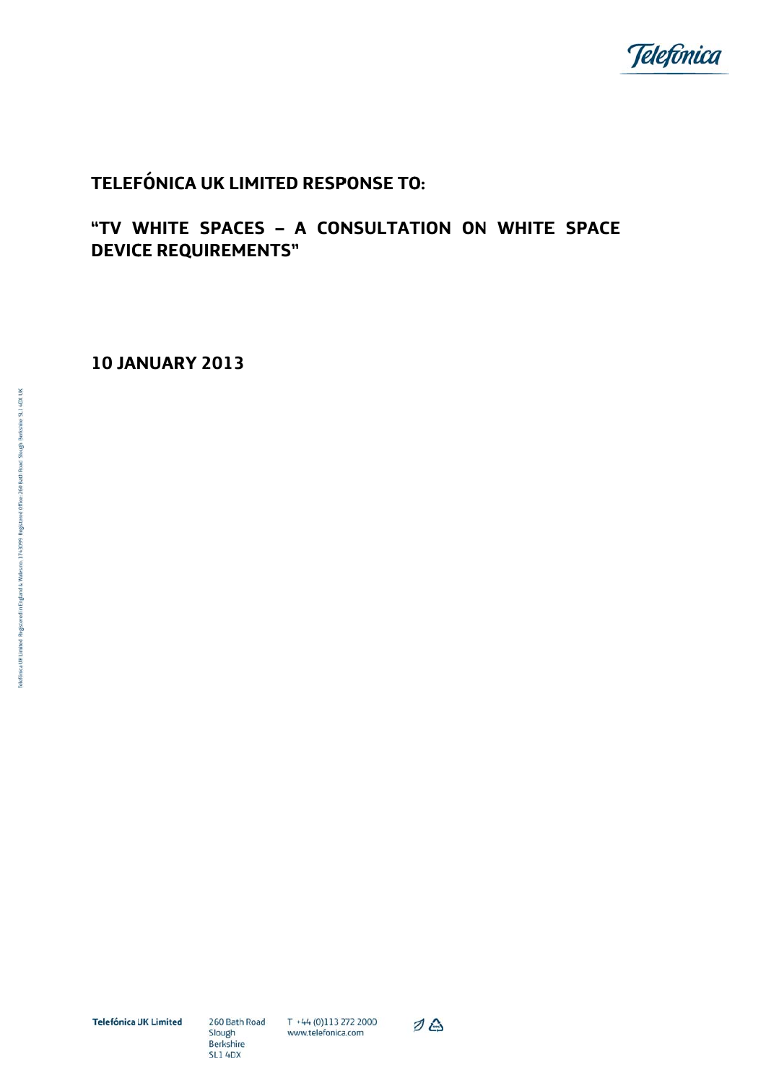

# TELEFÓNICA UK LIMITED RESPONSE TO:

## "TV WHITE SPACES - A CONSULTATION ON WHITE SPACE **DEVICE REQUIREMENTS"**

**10 JANUARY 2013** 

**Telefónica UK Limited** 

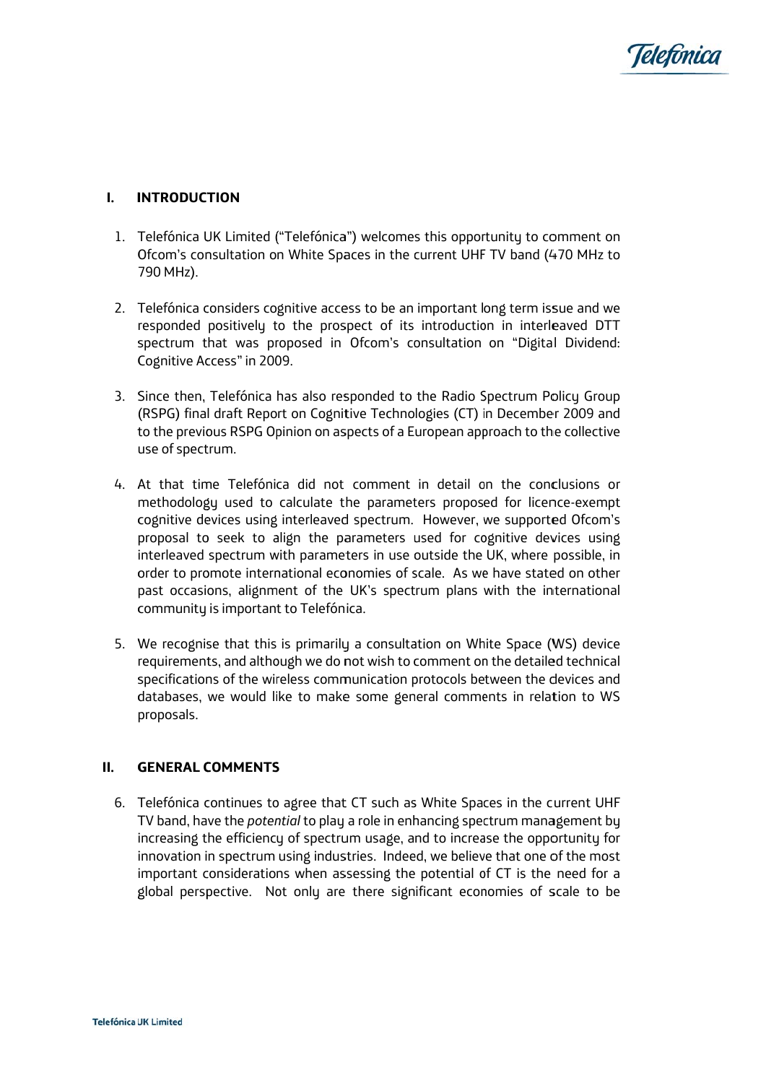

### $\mathbf{L}$ **INTRODUCTION**

- 1. Telefónica UK Limited ("Telefónica") welcomes this opportunity to comment on Ofcom's consultation on White Spaces in the current UHF TV band (470 MHz to 790 MHz).
- 2. Telefónica considers cognitive access to be an important long term issue and we responded positively to the prospect of its introduction in interleaved DTT spectrum that was proposed in Ofcom's consultation on "Digital Dividend: Cognitive Access" in 2009.
- 3. Since then, Telefónica has also responded to the Radio Spectrum Policy Group (RSPG) final draft Report on Cognitive Technologies (CT) in December 2009 and to the previous RSPG Opinion on aspects of a European approach to the collective use of spectrum.
- 4. At that time Telefónica did not comment in detail on the conclusions or methodology used to calculate the parameters proposed for licence-exempt cognitive devices using interleaved spectrum. However, we supported Ofcom's proposal to seek to align the parameters used for cognitive devices using interleaved spectrum with parameters in use outside the UK, where possible, in order to promote international economies of scale. As we have stated on other past occasions, alignment of the UK's spectrum plans with the international community is important to Telefónica.
- 5. We recognise that this is primarily a consultation on White Space (WS) device requirements, and although we do not wish to comment on the detailed technical specifications of the wireless communication protocols between the devices and databases, we would like to make some general comments in relation to WS proposals.

### $II.$ **GENERAL COMMENTS**

6. Telefónica continues to agree that CT such as White Spaces in the current UHF TV band, have the *potential* to play a role in enhancing spectrum management by increasing the efficiency of spectrum usage, and to increase the opportunity for innovation in spectrum using industries. Indeed, we believe that one of the most important considerations when assessing the potential of CT is the need for a global perspective. Not only are there significant economies of scale to be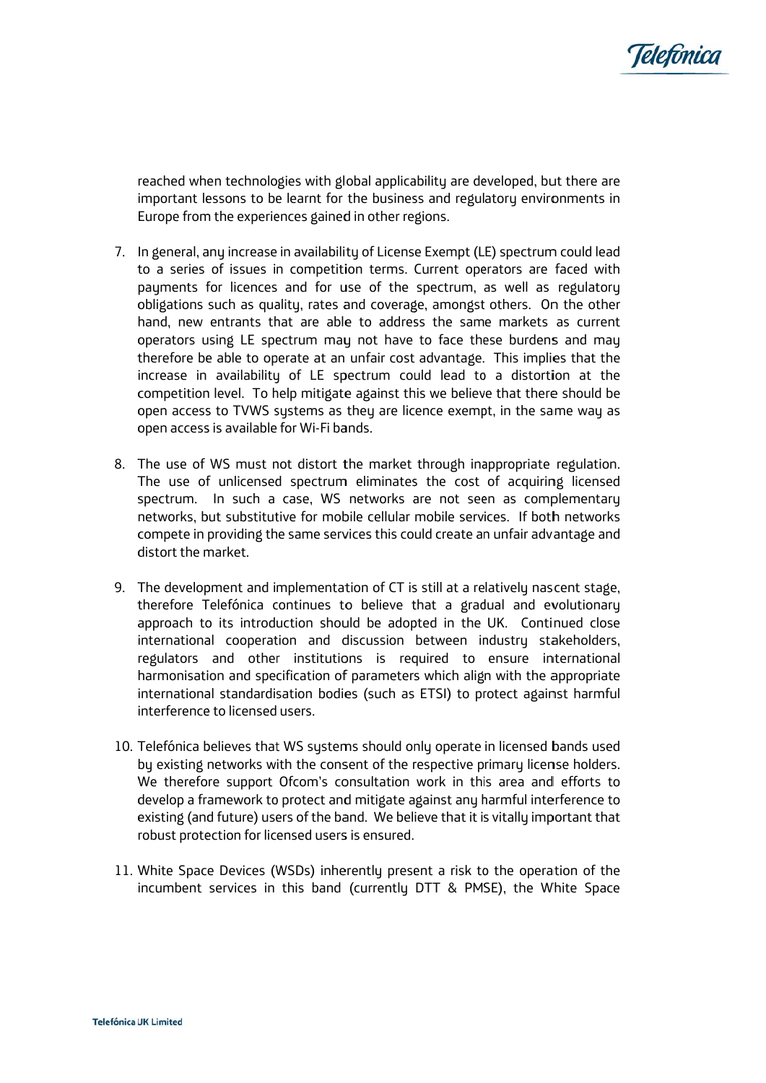

reached when technologies with global applicability are developed, but there are important lessons to be learnt for the business and regulatory environments in Europe from the experiences gained in other regions.

- 7. In general, any increase in availability of License Exempt (LE) spectrum could lead to a series of issues in competition terms. Current operators are faced with payments for licences and for use of the spectrum, as well as regulatory obligations such as quality, rates and coverage, amongst others. On the other hand, new entrants that are able to address the same markets as current operators using LE spectrum may not have to face these burdens and may therefore be able to operate at an unfair cost advantage. This implies that the increase in availabilitu of LE spectrum could lead to a distortion at the competition level. To help mitigate against this we believe that there should be open access to TVWS systems as they are licence exempt, in the same way as open access is available for Wi-Fi bands.
- 8. The use of WS must not distort the market through inappropriate regulation. The use of unlicensed spectrum eliminates the cost of acquiring licensed spectrum. In such a case, WS networks are not seen as complementary networks, but substitutive for mobile cellular mobile services. If both networks compete in providing the same services this could create an unfair advantage and distort the market.
- 9. The development and implementation of CT is still at a relatively nascent stage. therefore Telefónica continues to believe that a gradual and evolutionary approach to its introduction should be adopted in the UK. Continued close international cooperation and discussion between industry stakeholders, regulators and other institutions is required to ensure international harmonisation and specification of parameters which align with the appropriate international standardisation bodies (such as ETSI) to protect against harmful interference to licensed users.
- 10. Telefónica believes that WS systems should only operate in licensed bands used by existing networks with the consent of the respective primary license holders. We therefore support Ofcom's consultation work in this area and efforts to develop a framework to protect and mitigate against any harmful interference to existing (and future) users of the band. We believe that it is vitally important that robust protection for licensed users is ensured.
- 11. White Space Devices (WSDs) inherently present a risk to the operation of the incumbent services in this band (currently DTT & PMSE), the White Space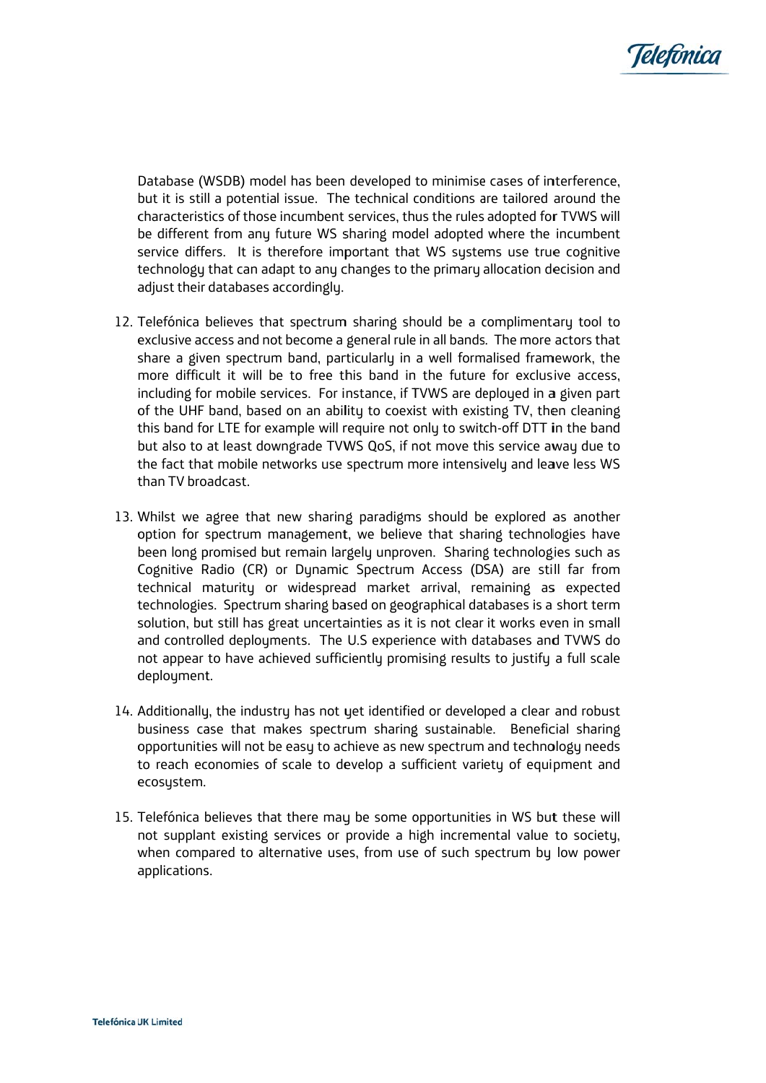

characteristics of those incumbent services, thus the rules adopted for TVWS will service differs. It is therefore important that WS systems use true cognitive technology that can adapt to any changes to the primary allocation decision and a adjust their databases a accordingly. Database (WSDB) model has been developed to minimise cases of interference, but it is still a potential issue. The technical conditions are tailored around the be different from any future WS sharing model adopted where the incumbent

- 12. Telefónica believes that spectrum sharing should be a complimentary tool to exclusive access and not become a general rule in all bands. The more actors that share a given spectrum band, particularly in a well formalised framework, the of the UHF band, based on an ability to coexist with existing TV, then cleaning this band for LTE for example will require not only to switch-off DTT in the band the fact that mobile networks use spectrum more intensively and leave less WS t than TV bro adcast. more difficult it will be to free this band in the future for exclusive access, including for mobile services. For instance, if TVWS are deployed in a given part but also to at least downgrade TVWS QoS, if not move this service away due to
- 13. Whilst we agree that new sharing paradigms should be explored as another option for spectrum management, we believe that sharing technologies have Cognitive Radio (CR) or Dynamic Spectrum Access (DSA) are still far from technical maturity or widespread market arrival, remaining as expected technologies. Spectrum sharing based on geographical databases is a short term solution, but still has great uncertainties as it is not clear it works even in small and controlled deployments. The U.S experience with databases and TVWS do deployment. been long promised but remain largely unproven. Sharing technologies such as not appear to have achieved sufficiently promising results to justify a full scale
- 14. Additionally, the industry has not yet identified or developed a clear and robust opportunities will not be easy to achieve as new spectrum and technology needs to reach economies of scale to develop a sufficient variety of equipment and e ecosystem. business case that makes spectrum sharing sustainable. Beneficial sharing
- 15. Telefónica believes that there may be some opportunities in WS but these will when compared to alternative uses, from use of such spectrum by low power a applications s. not supplant existing services or provide a high incremental value to society,